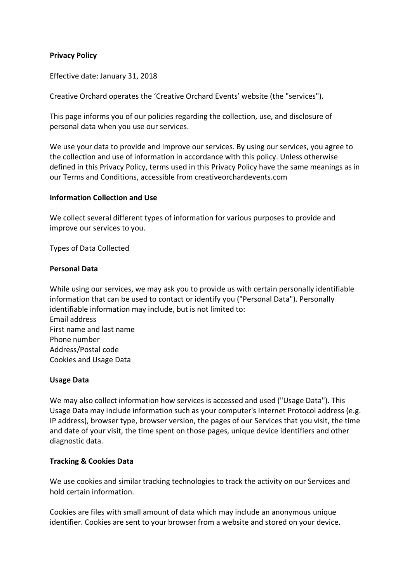# **Privacy Policy**

Effective date: January 31, 2018

Creative Orchard operates the 'Creative Orchard Events' website (the "services").

This page informs you of our policies regarding the collection, use, and disclosure of personal data when you use our services.

We use your data to provide and improve our services. By using our services, you agree to the collection and use of information in accordance with this policy. Unless otherwise defined in this Privacy Policy, terms used in this Privacy Policy have the same meanings as in our Terms and Conditions, accessible from creativeorchardevents.com

#### **Information Collection and Use**

We collect several different types of information for various purposes to provide and improve our services to you.

Types of Data Collected

#### **Personal Data**

While using our services, we may ask you to provide us with certain personally identifiable information that can be used to contact or identify you ("Personal Data"). Personally identifiable information may include, but is not limited to: Email address First name and last name Phone number Address/Postal code Cookies and Usage Data

### **Usage Data**

We may also collect information how services is accessed and used ("Usage Data"). This Usage Data may include information such as your computer's Internet Protocol address (e.g. IP address), browser type, browser version, the pages of our Services that you visit, the time and date of your visit, the time spent on those pages, unique device identifiers and other diagnostic data.

### **Tracking & Cookies Data**

We use cookies and similar tracking technologies to track the activity on our Services and hold certain information.

Cookies are files with small amount of data which may include an anonymous unique identifier. Cookies are sent to your browser from a website and stored on your device.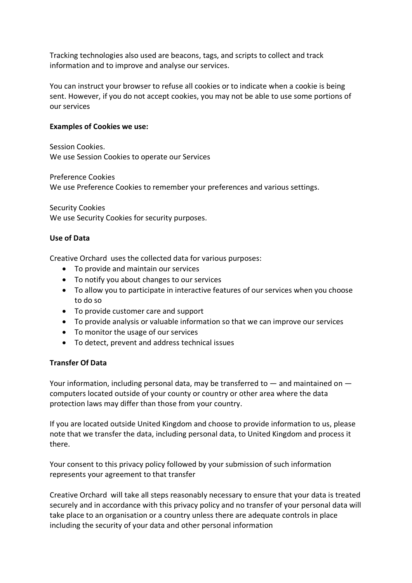Tracking technologies also used are beacons, tags, and scripts to collect and track information and to improve and analyse our services.

You can instruct your browser to refuse all cookies or to indicate when a cookie is being sent. However, if you do not accept cookies, you may not be able to use some portions of our services

#### **Examples of Cookies we use:**

Session Cookies. We use Session Cookies to operate our Services

Preference Cookies We use Preference Cookies to remember your preferences and various settings.

Security Cookies We use Security Cookies for security purposes.

### **Use of Data**

Creative Orchard uses the collected data for various purposes:

- To provide and maintain our services
- To notify you about changes to our services
- To allow you to participate in interactive features of our services when you choose to do so
- To provide customer care and support
- To provide analysis or valuable information so that we can improve our services
- To monitor the usage of our services
- To detect, prevent and address technical issues

### **Transfer Of Data**

Your information, including personal data, may be transferred to  $-$  and maintained on  $$ computers located outside of your county or country or other area where the data protection laws may differ than those from your country.

If you are located outside United Kingdom and choose to provide information to us, please note that we transfer the data, including personal data, to United Kingdom and process it there.

Your consent to this privacy policy followed by your submission of such information represents your agreement to that transfer

Creative Orchard will take all steps reasonably necessary to ensure that your data is treated securely and in accordance with this privacy policy and no transfer of your personal data will take place to an organisation or a country unless there are adequate controls in place including the security of your data and other personal information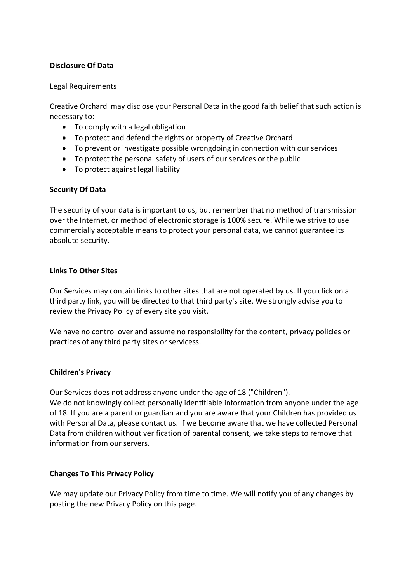# **Disclosure Of Data**

### Legal Requirements

Creative Orchard may disclose your Personal Data in the good faith belief that such action is necessary to:

- To comply with a legal obligation
- To protect and defend the rights or property of Creative Orchard
- To prevent or investigate possible wrongdoing in connection with our services
- To protect the personal safety of users of our services or the public
- To protect against legal liability

# **Security Of Data**

The security of your data is important to us, but remember that no method of transmission over the Internet, or method of electronic storage is 100% secure. While we strive to use commercially acceptable means to protect your personal data, we cannot guarantee its absolute security.

## **Links To Other Sites**

Our Services may contain links to other sites that are not operated by us. If you click on a third party link, you will be directed to that third party's site. We strongly advise you to review the Privacy Policy of every site you visit.

We have no control over and assume no responsibility for the content, privacy policies or practices of any third party sites or servicess.

# **Children's Privacy**

Our Services does not address anyone under the age of 18 ("Children"). We do not knowingly collect personally identifiable information from anyone under the age of 18. If you are a parent or guardian and you are aware that your Children has provided us with Personal Data, please contact us. If we become aware that we have collected Personal

Data from children without verification of parental consent, we take steps to remove that information from our servers.

# **Changes To This Privacy Policy**

We may update our Privacy Policy from time to time. We will notify you of any changes by posting the new Privacy Policy on this page.